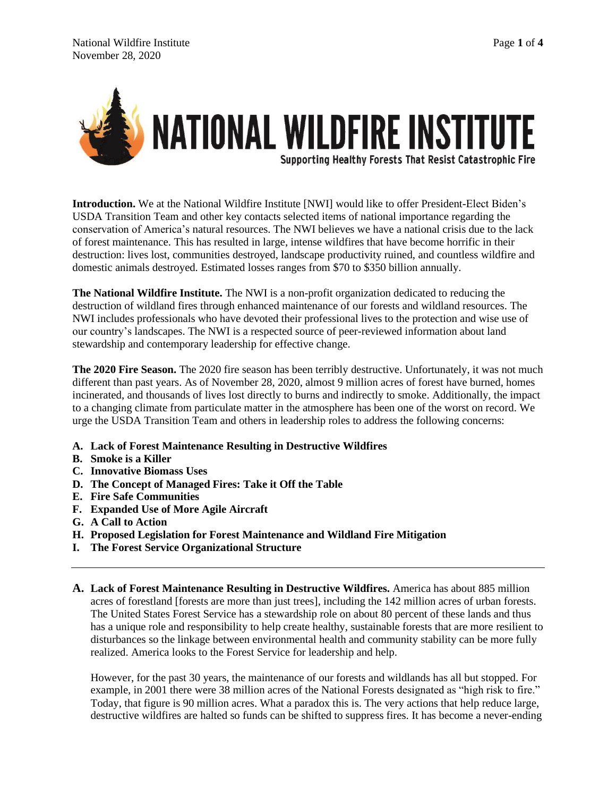

**Introduction.** We at the National Wildfire Institute [NWI] would like to offer President-Elect Biden's USDA Transition Team and other key contacts selected items of national importance regarding the conservation of America's natural resources. The NWI believes we have a national crisis due to the lack of forest maintenance. This has resulted in large, intense wildfires that have become horrific in their destruction: lives lost, communities destroyed, landscape productivity ruined, and countless wildfire and domestic animals destroyed. Estimated losses ranges from \$70 to \$350 billion annually.

**The National Wildfire Institute.** The NWI is a non-profit organization dedicated to reducing the destruction of wildland fires through enhanced maintenance of our forests and wildland resources. The NWI includes professionals who have devoted their professional lives to the protection and wise use of our country's landscapes. The NWI is a respected source of peer-reviewed information about land stewardship and contemporary leadership for effective change.

**The 2020 Fire Season.** The 2020 fire season has been terribly destructive. Unfortunately, it was not much different than past years. As of November 28, 2020, almost 9 million acres of forest have burned, homes incinerated, and thousands of lives lost directly to burns and indirectly to smoke. Additionally, the impact to a changing climate from particulate matter in the atmosphere has been one of the worst on record. We urge the USDA Transition Team and others in leadership roles to address the following concerns:

- **A. Lack of Forest Maintenance Resulting in Destructive Wildfires**
- **B. Smoke is a Killer**
- **C. Innovative Biomass Uses**
- **D. The Concept of Managed Fires: Take it Off the Table**
- **E. Fire Safe Communities**
- **F. Expanded Use of More Agile Aircraft**
- **G. A Call to Action**
- **H. Proposed Legislation for Forest Maintenance and Wildland Fire Mitigation**
- **I. The Forest Service Organizational Structure**
- **A. Lack of Forest Maintenance Resulting in Destructive Wildfires.** America has about 885 million acres of forestland [forests are more than just trees], including the 142 million acres of urban forests. The United States Forest Service has a stewardship role on about 80 percent of these lands and thus has a unique role and responsibility to help create healthy, sustainable forests that are more resilient to disturbances so the linkage between environmental health and community stability can be more fully realized. America looks to the Forest Service for leadership and help.

However, for the past 30 years, the maintenance of our forests and wildlands has all but stopped. For example, in 2001 there were 38 million acres of the National Forests designated as "high risk to fire." Today, that figure is 90 million acres. What a paradox this is. The very actions that help reduce large, destructive wildfires are halted so funds can be shifted to suppress fires. It has become a never-ending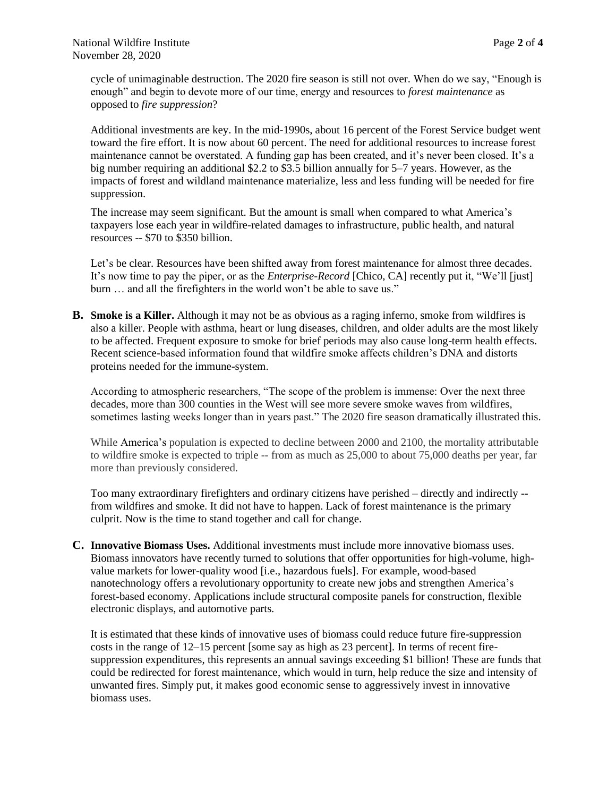cycle of unimaginable destruction. The 2020 fire season is still not over. When do we say, "Enough is enough" and begin to devote more of our time, energy and resources to *forest maintenance* as opposed to *fire suppression*?

Additional investments are key. In the mid-1990s, about 16 percent of the Forest Service budget went toward the fire effort. It is now about 60 percent. The need for additional resources to increase forest maintenance cannot be overstated. A funding gap has been created, and it's never been closed. It's a big number requiring an additional \$2.2 to \$3.5 billion annually for 5–7 years. However, as the impacts of forest and wildland maintenance materialize, less and less funding will be needed for fire suppression.

The increase may seem significant. But the amount is small when compared to what America's taxpayers lose each year in wildfire-related damages to infrastructure, public health, and natural resources -- \$70 to \$350 billion.

Let's be clear. Resources have been shifted away from forest maintenance for almost three decades. It's now time to pay the piper, or as the *Enterprise-Record* [Chico, CA] recently put it, "We'll [just] burn ... and all the firefighters in the world won't be able to save us."

**B. Smoke is a Killer.** Although it may not be as obvious as a raging inferno, smoke from wildfires is also a killer. People with asthma, heart or lung diseases, children, and older adults are the most likely to be affected. Frequent exposure to smoke for brief periods may also cause long-term health effects. Recent science-based information found that wildfire smoke affects children's DNA and distorts proteins needed for the immune-system.

According to atmospheric researchers, "The scope of the problem is immense: Over the next three decades, more than 300 counties in the West will see more severe smoke waves from wildfires, sometimes lasting weeks longer than in years past." The 2020 fire season dramatically illustrated this.

While America's population is expected to decline between 2000 and 2100, the mortality attributable to wildfire smoke is expected to triple -- from as much as 25,000 to about 75,000 deaths per year, far more than previously considered.

Too many extraordinary firefighters and ordinary citizens have perished – directly and indirectly - from wildfires and smoke. It did not have to happen. Lack of forest maintenance is the primary culprit. Now is the time to stand together and call for change.

**C. Innovative Biomass Uses.** Additional investments must include more innovative biomass uses. Biomass innovators have recently turned to solutions that offer opportunities for high-volume, highvalue markets for lower-quality wood [i.e., hazardous fuels]. For example, wood-based nanotechnology offers a revolutionary opportunity to create new jobs and strengthen America's forest-based economy. Applications include structural composite panels for construction, flexible electronic displays, and automotive parts.

It is estimated that these kinds of innovative uses of biomass could reduce future fire-suppression costs in the range of 12–15 percent [some say as high as 23 percent]. In terms of recent firesuppression expenditures, this represents an annual savings exceeding \$1 billion! These are funds that could be redirected for forest maintenance, which would in turn, help reduce the size and intensity of unwanted fires. Simply put, it makes good economic sense to aggressively invest in innovative biomass uses.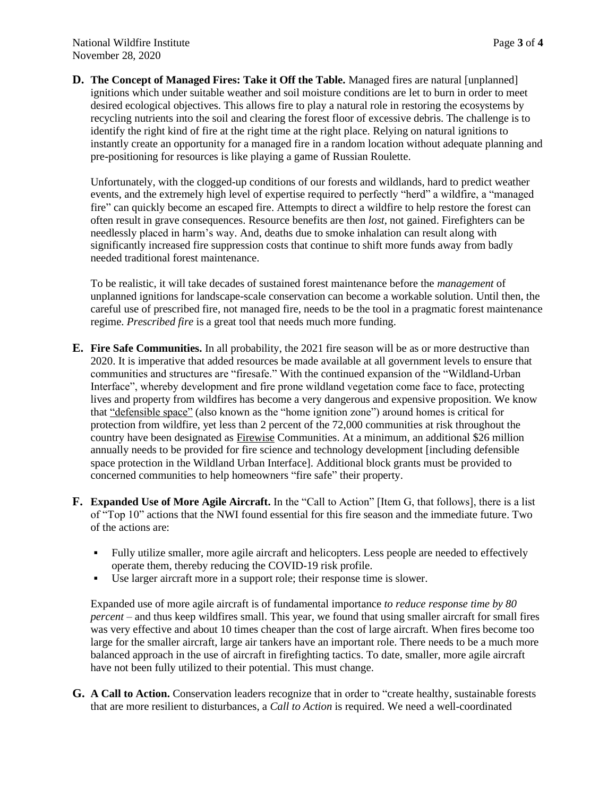**D. The Concept of Managed Fires: Take it Off the Table.** Managed fires are natural [unplanned] ignitions which under suitable weather and soil moisture conditions are let to burn in order to meet desired ecological objectives. This allows fire to play a natural role in restoring the ecosystems by recycling nutrients into the soil and clearing the forest floor of excessive debris. The challenge is to identify the right kind of fire at the right time at the right place. Relying on natural ignitions to instantly create an opportunity for a managed fire in a random location without adequate planning and pre-positioning for resources is like playing a game of Russian Roulette.

Unfortunately, with the clogged-up conditions of our forests and wildlands, hard to predict weather events, and the extremely high level of expertise required to perfectly "herd" a wildfire, a "managed fire" can quickly become an escaped fire. Attempts to direct a wildfire to help restore the forest can often result in grave consequences. Resource benefits are then *lost*, not gained. Firefighters can be needlessly placed in harm's way. And, deaths due to smoke inhalation can result along with significantly increased fire suppression costs that continue to shift more funds away from badly needed traditional forest maintenance.

To be realistic, it will take decades of sustained forest maintenance before the *management* of unplanned ignitions for landscape-scale conservation can become a workable solution. Until then, the careful use of prescribed fire, not managed fire, needs to be the tool in a pragmatic forest maintenance regime. *Prescribed fire* is a great tool that needs much more funding.

- **E. Fire Safe Communities.** In all probability, the 2021 fire season will be as or more destructive than 2020. It is imperative that added resources be made available at all government levels to ensure that communities and structures are "firesafe." With the continued expansion of the "Wildland-Urban Interface", whereby development and fire prone wildland vegetation come face to face, protecting lives and property from wildfires has become a very dangerous and expensive proposition. We know that ["defensible space"](http://www.firewise.org/wildfire-preparedness/be-firewise/home-and-landscape/defensible-space.aspx) (also known as the "home ignition zone") around homes is critical for protection from wildfire, yet less than 2 percent of the 72,000 communities at risk throughout the country have been designated as [Firewise](http://www.firewise.org/about.aspx?sso=0) Communities. At a minimum, an additional \$26 million annually needs to be provided for fire science and technology development [including defensible space protection in the Wildland Urban Interface]. Additional block grants must be provided to concerned communities to help homeowners "fire safe" their property.
- **F. Expanded Use of More Agile Aircraft.** In the "Call to Action" [Item G, that follows], there is a list of "Top 10" actions that the NWI found essential for this fire season and the immediate future. Two of the actions are:
	- Fully utilize smaller, more agile aircraft and helicopters. Less people are needed to effectively operate them, thereby reducing the COVID-19 risk profile.
	- Use larger aircraft more in a support role; their response time is slower.

Expanded use of more agile aircraft is of fundamental importance *to reduce response time by 80 percent* – and thus keep wildfires small. This year, we found that using smaller aircraft for small fires was very effective and about 10 times cheaper than the cost of large aircraft. When fires become too large for the smaller aircraft, large air tankers have an important role. There needs to be a much more balanced approach in the use of aircraft in firefighting tactics. To date, smaller, more agile aircraft have not been fully utilized to their potential. This must change.

**G. A Call to Action.** Conservation leaders recognize that in order to "create healthy, sustainable forests that are more resilient to disturbances, a *Call to Action* is required. We need a well-coordinated